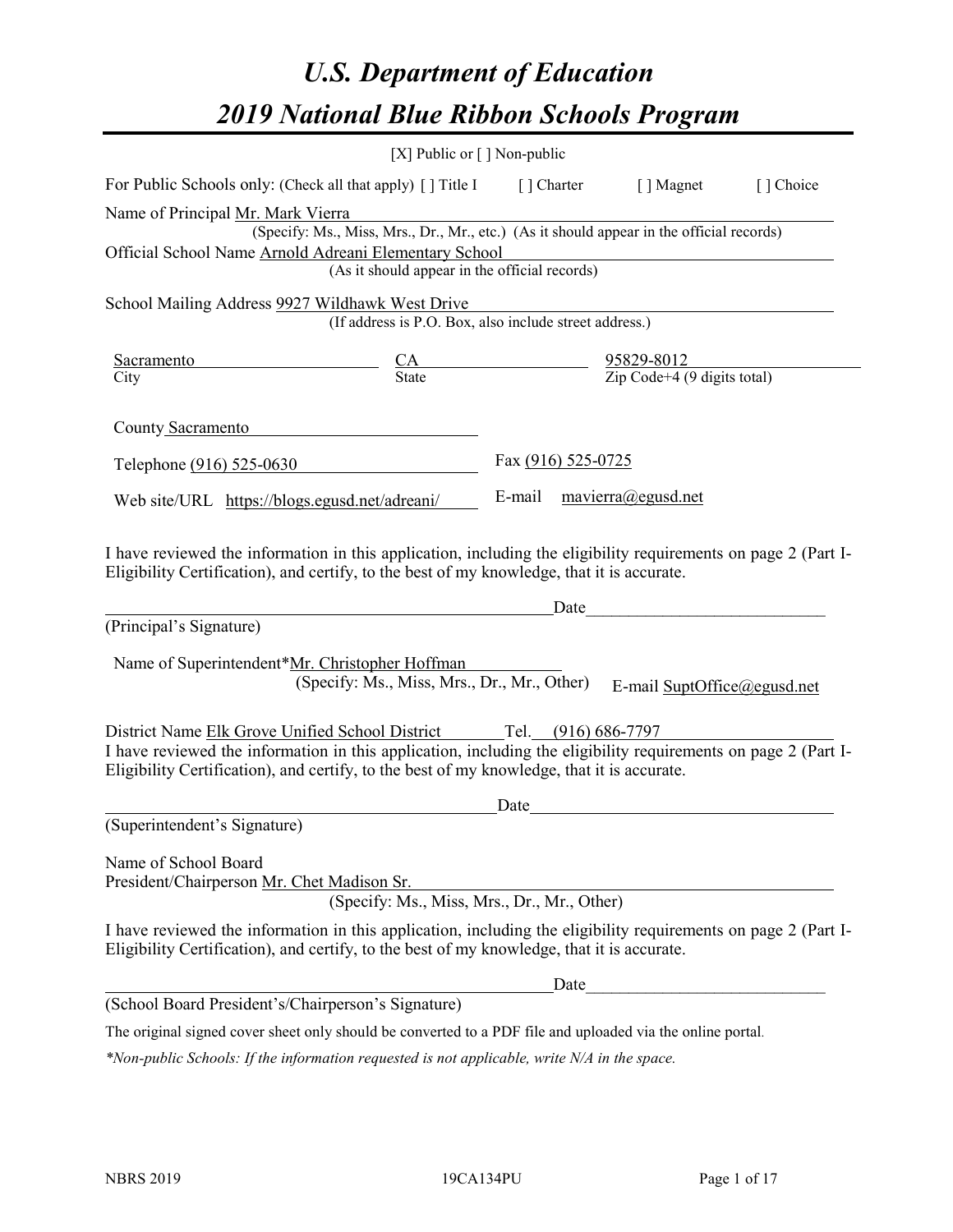# *U.S. Department of Education 2019 National Blue Ribbon Schools Program*

|                                                                                                                                                                                                              | [X] Public or $\lceil$ ] Non-public                                                                        |                           |                                                                                                                                                                                                                                      |           |
|--------------------------------------------------------------------------------------------------------------------------------------------------------------------------------------------------------------|------------------------------------------------------------------------------------------------------------|---------------------------|--------------------------------------------------------------------------------------------------------------------------------------------------------------------------------------------------------------------------------------|-----------|
| For Public Schools only: (Check all that apply) [ ] Title I [ ] Charter [ ] Magnet                                                                                                                           |                                                                                                            |                           |                                                                                                                                                                                                                                      | [] Choice |
| Name of Principal Mr. Mark Vierra                                                                                                                                                                            |                                                                                                            |                           |                                                                                                                                                                                                                                      |           |
|                                                                                                                                                                                                              | r. Mark Vierra<br>(Specify: Ms., Miss, Mrs., Dr., Mr., etc.) (As it should appear in the official records) |                           |                                                                                                                                                                                                                                      |           |
| Official School Name Arnold Adreani Elementary School                                                                                                                                                        |                                                                                                            |                           |                                                                                                                                                                                                                                      |           |
|                                                                                                                                                                                                              | (As it should appear in the official records)                                                              |                           |                                                                                                                                                                                                                                      |           |
| School Mailing Address 9927 Wildhawk West Drive                                                                                                                                                              |                                                                                                            |                           |                                                                                                                                                                                                                                      |           |
|                                                                                                                                                                                                              | (If address is P.O. Box, also include street address.)                                                     |                           |                                                                                                                                                                                                                                      |           |
| <b>Sacramento</b>                                                                                                                                                                                            |                                                                                                            |                           |                                                                                                                                                                                                                                      |           |
| City                                                                                                                                                                                                         | $\frac{CA}{State}$ $\frac{95829-8012}{\text{Zip Code}+4 (9 digits total)}$                                 |                           |                                                                                                                                                                                                                                      |           |
|                                                                                                                                                                                                              |                                                                                                            |                           |                                                                                                                                                                                                                                      |           |
| County Sacramento                                                                                                                                                                                            |                                                                                                            |                           |                                                                                                                                                                                                                                      |           |
| Telephone (916) 525-0630                                                                                                                                                                                     |                                                                                                            | Fax (916) 525-0725        |                                                                                                                                                                                                                                      |           |
| Web site/URL https://blogs.egusd.net/adreani/                                                                                                                                                                |                                                                                                            | E-mail mavierra@egusd.net |                                                                                                                                                                                                                                      |           |
|                                                                                                                                                                                                              |                                                                                                            |                           |                                                                                                                                                                                                                                      |           |
|                                                                                                                                                                                                              |                                                                                                            |                           |                                                                                                                                                                                                                                      |           |
| I have reviewed the information in this application, including the eligibility requirements on page 2 (Part I-                                                                                               |                                                                                                            |                           |                                                                                                                                                                                                                                      |           |
| Eligibility Certification), and certify, to the best of my knowledge, that it is accurate.                                                                                                                   |                                                                                                            |                           |                                                                                                                                                                                                                                      |           |
|                                                                                                                                                                                                              |                                                                                                            | Date                      |                                                                                                                                                                                                                                      |           |
| (Principal's Signature)                                                                                                                                                                                      |                                                                                                            |                           |                                                                                                                                                                                                                                      |           |
| Name of Superintendent*Mr. Christopher Hoffman                                                                                                                                                               |                                                                                                            |                           |                                                                                                                                                                                                                                      |           |
|                                                                                                                                                                                                              | (Specify: Ms., Miss, Mrs., Dr., Mr., Other)                                                                |                           | E-mail SuptOffice@egusd.net                                                                                                                                                                                                          |           |
|                                                                                                                                                                                                              |                                                                                                            |                           |                                                                                                                                                                                                                                      |           |
| District Name Elk Grove Unified School District Tel. (916) 686-7797                                                                                                                                          |                                                                                                            |                           |                                                                                                                                                                                                                                      |           |
| I have reviewed the information in this application, including the eligibility requirements on page 2 (Part I-                                                                                               |                                                                                                            |                           |                                                                                                                                                                                                                                      |           |
| Eligibility Certification), and certify, to the best of my knowledge, that it is accurate.                                                                                                                   |                                                                                                            |                           |                                                                                                                                                                                                                                      |           |
|                                                                                                                                                                                                              |                                                                                                            | Date                      | <u>and the state of the state of the state of the state of the state of the state of the state of the state of the state of the state of the state of the state of the state of the state of the state of the state of the state</u> |           |
| (Superintendent's Signature)                                                                                                                                                                                 |                                                                                                            |                           |                                                                                                                                                                                                                                      |           |
|                                                                                                                                                                                                              |                                                                                                            |                           |                                                                                                                                                                                                                                      |           |
| Name of School Board                                                                                                                                                                                         |                                                                                                            |                           |                                                                                                                                                                                                                                      |           |
| President/Chairperson Mr. Chet Madison Sr.                                                                                                                                                                   |                                                                                                            |                           |                                                                                                                                                                                                                                      |           |
|                                                                                                                                                                                                              | (Specify: Ms., Miss, Mrs., Dr., Mr., Other)                                                                |                           |                                                                                                                                                                                                                                      |           |
| I have reviewed the information in this application, including the eligibility requirements on page 2 (Part I-<br>Eligibility Certification), and certify, to the best of my knowledge, that it is accurate. |                                                                                                            |                           |                                                                                                                                                                                                                                      |           |
|                                                                                                                                                                                                              |                                                                                                            | Date                      |                                                                                                                                                                                                                                      |           |
| (School Board President's/Chairperson's Signature)                                                                                                                                                           |                                                                                                            |                           |                                                                                                                                                                                                                                      |           |
| The original signed cover sheet only should be converted to a PDF file and uploaded via the online portal.                                                                                                   |                                                                                                            |                           |                                                                                                                                                                                                                                      |           |

*\*Non-public Schools: If the information requested is not applicable, write N/A in the space.*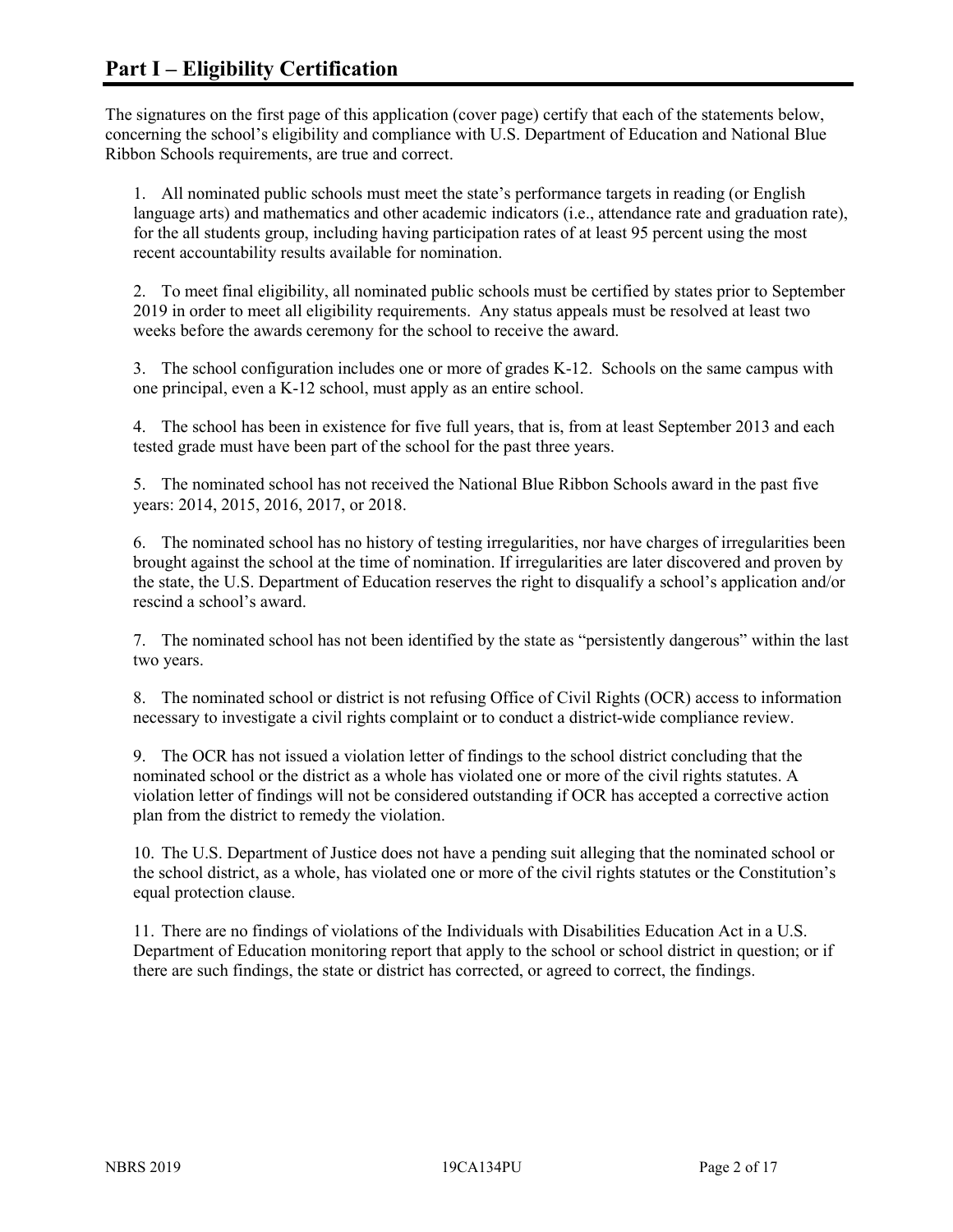The signatures on the first page of this application (cover page) certify that each of the statements below, concerning the school's eligibility and compliance with U.S. Department of Education and National Blue Ribbon Schools requirements, are true and correct.

1. All nominated public schools must meet the state's performance targets in reading (or English language arts) and mathematics and other academic indicators (i.e., attendance rate and graduation rate), for the all students group, including having participation rates of at least 95 percent using the most recent accountability results available for nomination.

2. To meet final eligibility, all nominated public schools must be certified by states prior to September 2019 in order to meet all eligibility requirements. Any status appeals must be resolved at least two weeks before the awards ceremony for the school to receive the award.

3. The school configuration includes one or more of grades K-12. Schools on the same campus with one principal, even a K-12 school, must apply as an entire school.

4. The school has been in existence for five full years, that is, from at least September 2013 and each tested grade must have been part of the school for the past three years.

5. The nominated school has not received the National Blue Ribbon Schools award in the past five years: 2014, 2015, 2016, 2017, or 2018.

6. The nominated school has no history of testing irregularities, nor have charges of irregularities been brought against the school at the time of nomination. If irregularities are later discovered and proven by the state, the U.S. Department of Education reserves the right to disqualify a school's application and/or rescind a school's award.

7. The nominated school has not been identified by the state as "persistently dangerous" within the last two years.

8. The nominated school or district is not refusing Office of Civil Rights (OCR) access to information necessary to investigate a civil rights complaint or to conduct a district-wide compliance review.

9. The OCR has not issued a violation letter of findings to the school district concluding that the nominated school or the district as a whole has violated one or more of the civil rights statutes. A violation letter of findings will not be considered outstanding if OCR has accepted a corrective action plan from the district to remedy the violation.

10. The U.S. Department of Justice does not have a pending suit alleging that the nominated school or the school district, as a whole, has violated one or more of the civil rights statutes or the Constitution's equal protection clause.

11. There are no findings of violations of the Individuals with Disabilities Education Act in a U.S. Department of Education monitoring report that apply to the school or school district in question; or if there are such findings, the state or district has corrected, or agreed to correct, the findings.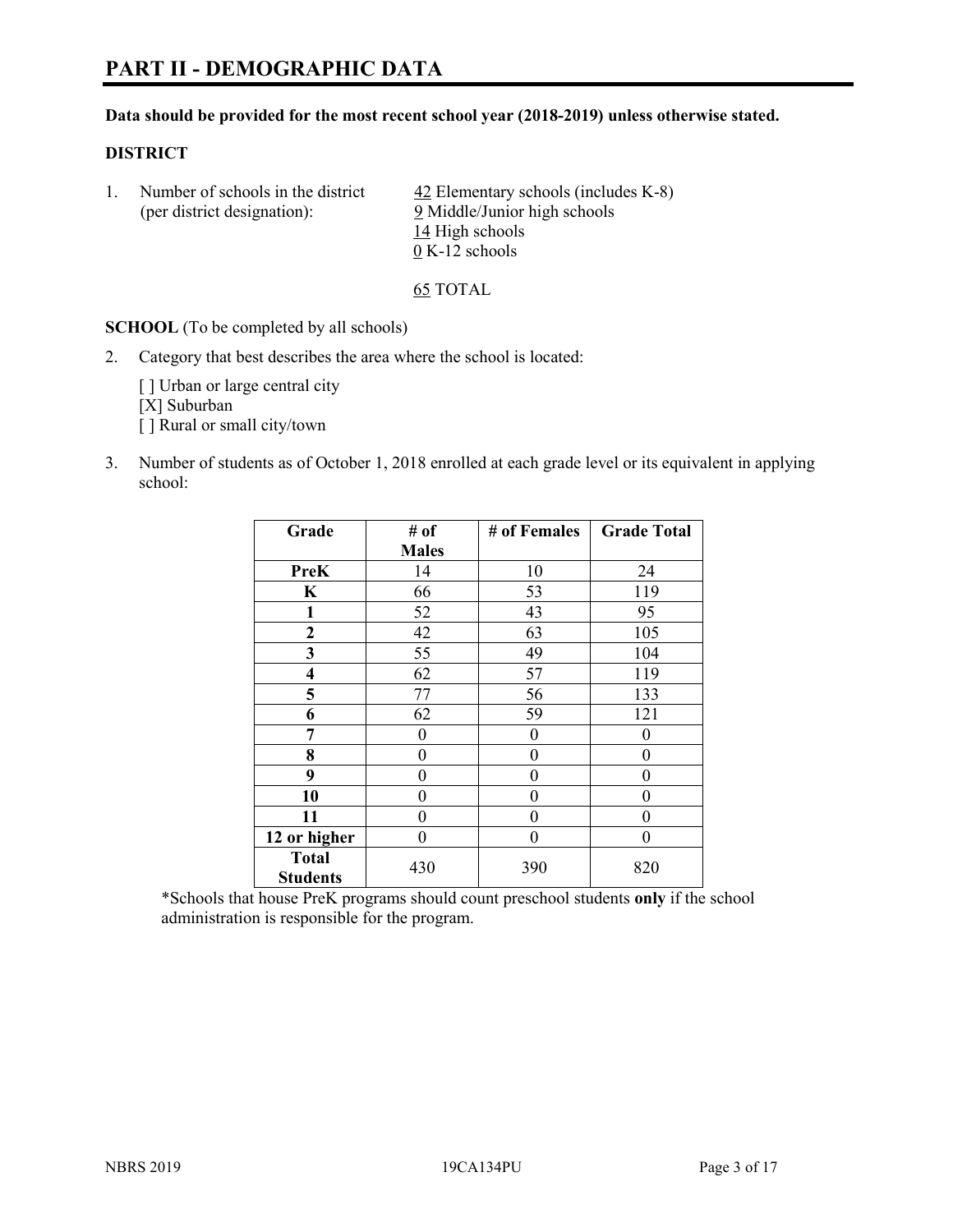# **PART II - DEMOGRAPHIC DATA**

#### **Data should be provided for the most recent school year (2018-2019) unless otherwise stated.**

#### **DISTRICT**

1. Number of schools in the district  $\frac{42}{2}$  Elementary schools (includes K-8) (per district designation): 9 Middle/Junior high schools 14 High schools 0 K-12 schools

65 TOTAL

**SCHOOL** (To be completed by all schools)

2. Category that best describes the area where the school is located:

[ ] Urban or large central city [X] Suburban [] Rural or small city/town

3. Number of students as of October 1, 2018 enrolled at each grade level or its equivalent in applying school:

| Grade                           | # of         | # of Females | <b>Grade Total</b> |
|---------------------------------|--------------|--------------|--------------------|
|                                 | <b>Males</b> |              |                    |
| <b>PreK</b>                     | 14           | 10           | 24                 |
| $\mathbf K$                     | 66           | 53           | 119                |
| 1                               | 52           | 43           | 95                 |
| 2                               | 42           | 63           | 105                |
| 3                               | 55           | 49           | 104                |
| $\overline{\mathbf{4}}$         | 62           | 57           | 119                |
| 5                               | 77           | 56           | 133                |
| 6                               | 62           | 59           | 121                |
| 7                               | 0            | $\theta$     | 0                  |
| 8                               | 0            | $\theta$     | 0                  |
| 9                               | 0            | $\theta$     | 0                  |
| 10                              | 0            | $\theta$     | 0                  |
| 11                              | 0            | $\theta$     | 0                  |
| 12 or higher                    | 0            | 0            | 0                  |
| <b>Total</b><br><b>Students</b> | 430          | 390          | 820                |

\*Schools that house PreK programs should count preschool students **only** if the school administration is responsible for the program.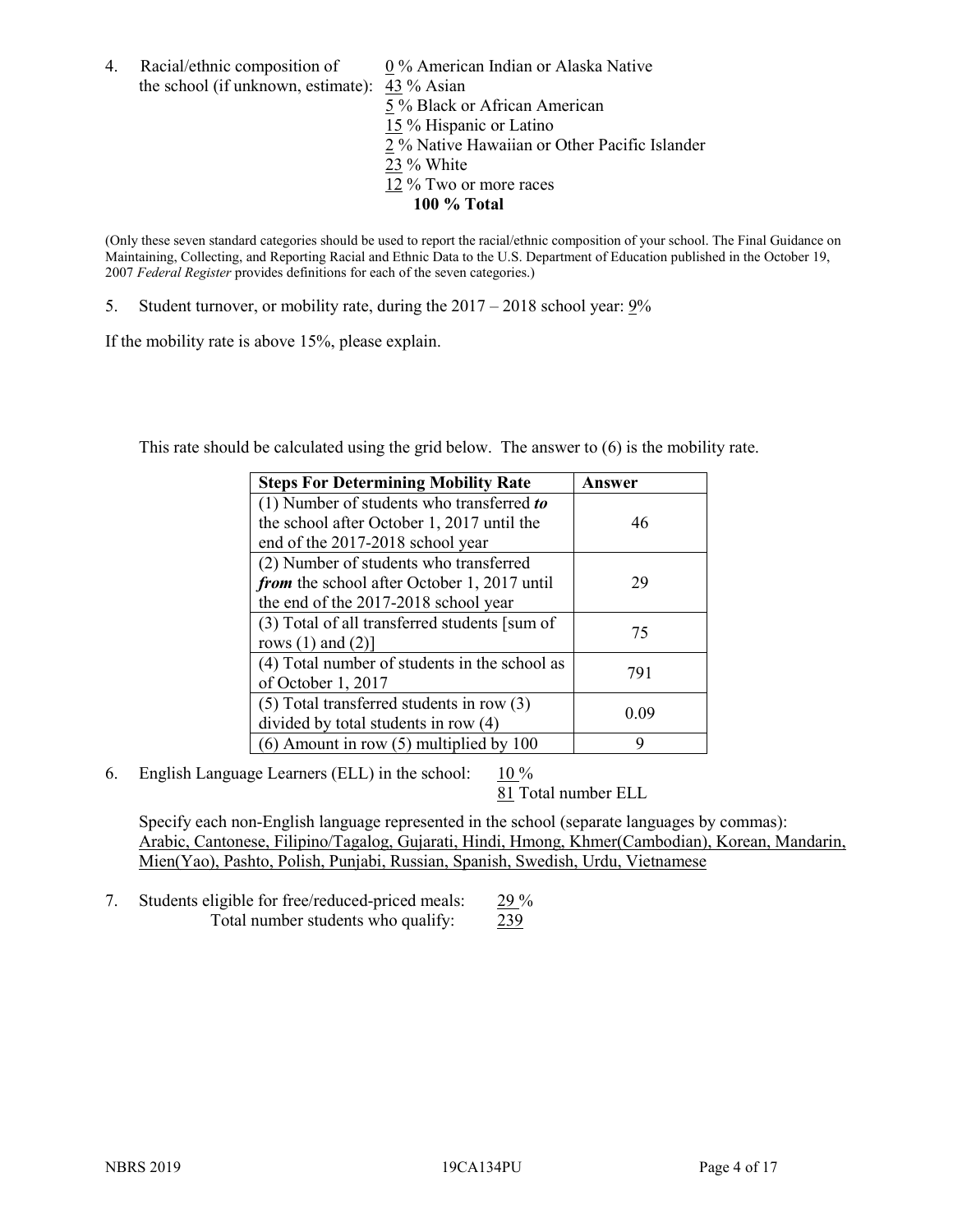4. Racial/ethnic composition of  $0\%$  American Indian or Alaska Native the school (if unknown, estimate): 43 % Asian 5 % Black or African American 15 % Hispanic or Latino 2 % Native Hawaiian or Other Pacific Islander 23 % White 12 % Two or more races

#### **100 % Total**

(Only these seven standard categories should be used to report the racial/ethnic composition of your school. The Final Guidance on Maintaining, Collecting, and Reporting Racial and Ethnic Data to the U.S. Department of Education published in the October 19, 2007 *Federal Register* provides definitions for each of the seven categories.)

5. Student turnover, or mobility rate, during the 2017 – 2018 school year: 9%

If the mobility rate is above 15%, please explain.

This rate should be calculated using the grid below. The answer to (6) is the mobility rate.

| <b>Steps For Determining Mobility Rate</b>    | Answer |
|-----------------------------------------------|--------|
| (1) Number of students who transferred to     |        |
| the school after October 1, 2017 until the    | 46     |
| end of the 2017-2018 school year              |        |
| (2) Number of students who transferred        |        |
| from the school after October 1, 2017 until   | 29     |
| the end of the 2017-2018 school year          |        |
| (3) Total of all transferred students [sum of | 75     |
| rows $(1)$ and $(2)$ ]                        |        |
| (4) Total number of students in the school as |        |
| of October 1, 2017                            | 791    |
| $(5)$ Total transferred students in row $(3)$ | 0.09   |
| divided by total students in row (4)          |        |
| (6) Amount in row (5) multiplied by 100       | 9      |

6. English Language Learners (ELL) in the school:  $10\%$ 

81 Total number ELL

Specify each non-English language represented in the school (separate languages by commas): Arabic, Cantonese, Filipino/Tagalog, Gujarati, Hindi, Hmong, Khmer(Cambodian), Korean, Mandarin, Mien(Yao), Pashto, Polish, Punjabi, Russian, Spanish, Swedish, Urdu, Vietnamese

7. Students eligible for free/reduced-priced meals: 29 % Total number students who qualify: 239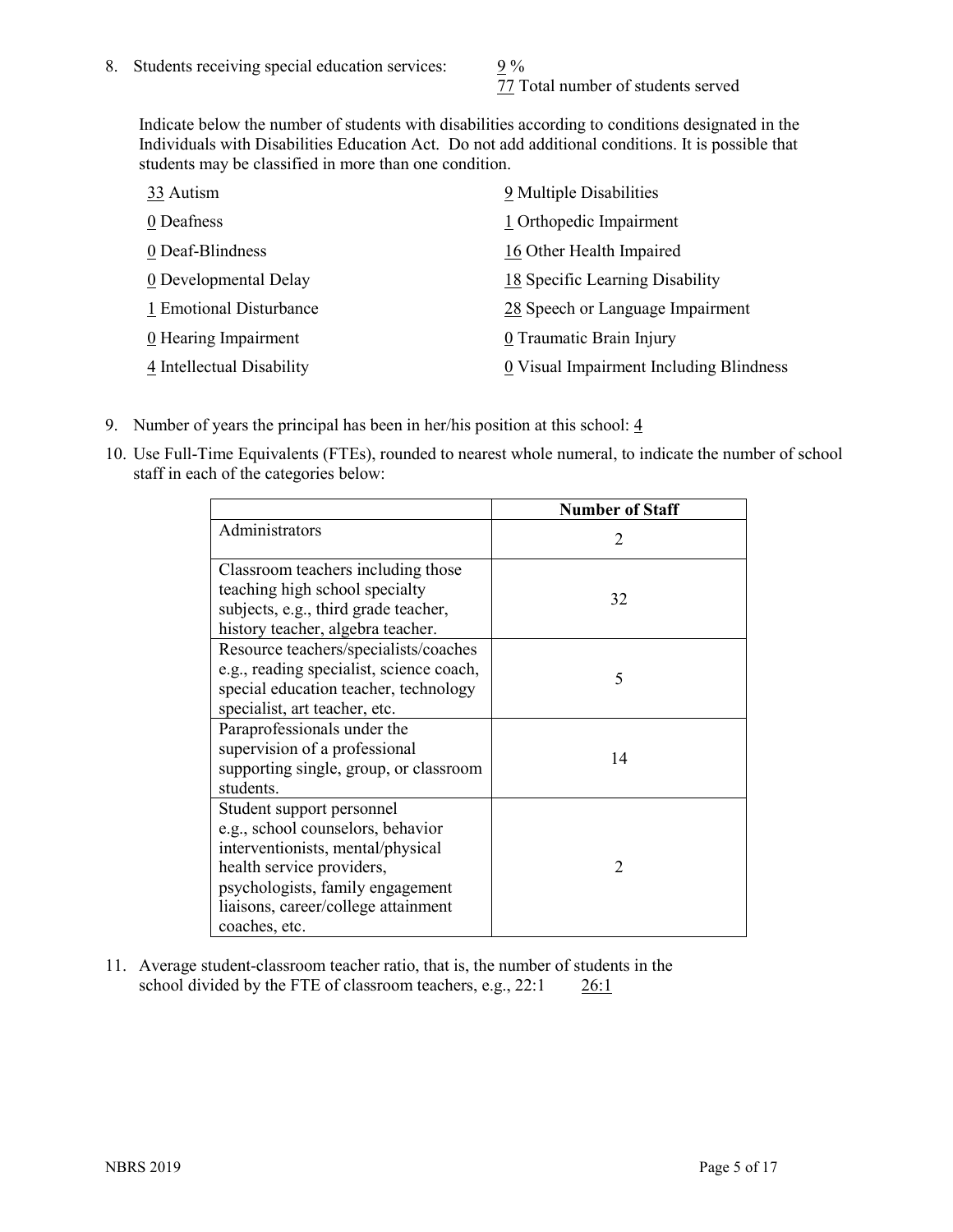77 Total number of students served

Indicate below the number of students with disabilities according to conditions designated in the Individuals with Disabilities Education Act. Do not add additional conditions. It is possible that students may be classified in more than one condition.

| 33 Autism                 | 9 Multiple Disabilities                 |
|---------------------------|-----------------------------------------|
| 0 Deafness                | 1 Orthopedic Impairment                 |
| 0 Deaf-Blindness          | 16 Other Health Impaired                |
| 0 Developmental Delay     | 18 Specific Learning Disability         |
| 1 Emotional Disturbance   | 28 Speech or Language Impairment        |
| 0 Hearing Impairment      | 0 Traumatic Brain Injury                |
| 4 Intellectual Disability | 0 Visual Impairment Including Blindness |

- 9. Number of years the principal has been in her/his position at this school:  $\frac{4}{3}$
- 10. Use Full-Time Equivalents (FTEs), rounded to nearest whole numeral, to indicate the number of school staff in each of the categories below:

|                                                                                                                                                                                                                              | <b>Number of Staff</b>      |
|------------------------------------------------------------------------------------------------------------------------------------------------------------------------------------------------------------------------------|-----------------------------|
| Administrators                                                                                                                                                                                                               | $\mathcal{D}_{\mathcal{L}}$ |
| Classroom teachers including those<br>teaching high school specialty<br>subjects, e.g., third grade teacher,<br>history teacher, algebra teacher.                                                                            | 32                          |
| Resource teachers/specialists/coaches<br>e.g., reading specialist, science coach,<br>special education teacher, technology<br>specialist, art teacher, etc.                                                                  | 5                           |
| Paraprofessionals under the<br>supervision of a professional<br>supporting single, group, or classroom<br>students.                                                                                                          | 14                          |
| Student support personnel<br>e.g., school counselors, behavior<br>interventionists, mental/physical<br>health service providers,<br>psychologists, family engagement<br>liaisons, career/college attainment<br>coaches, etc. | $\mathcal{D}$               |

11. Average student-classroom teacher ratio, that is, the number of students in the school divided by the FTE of classroom teachers, e.g.,  $22:1$  26:1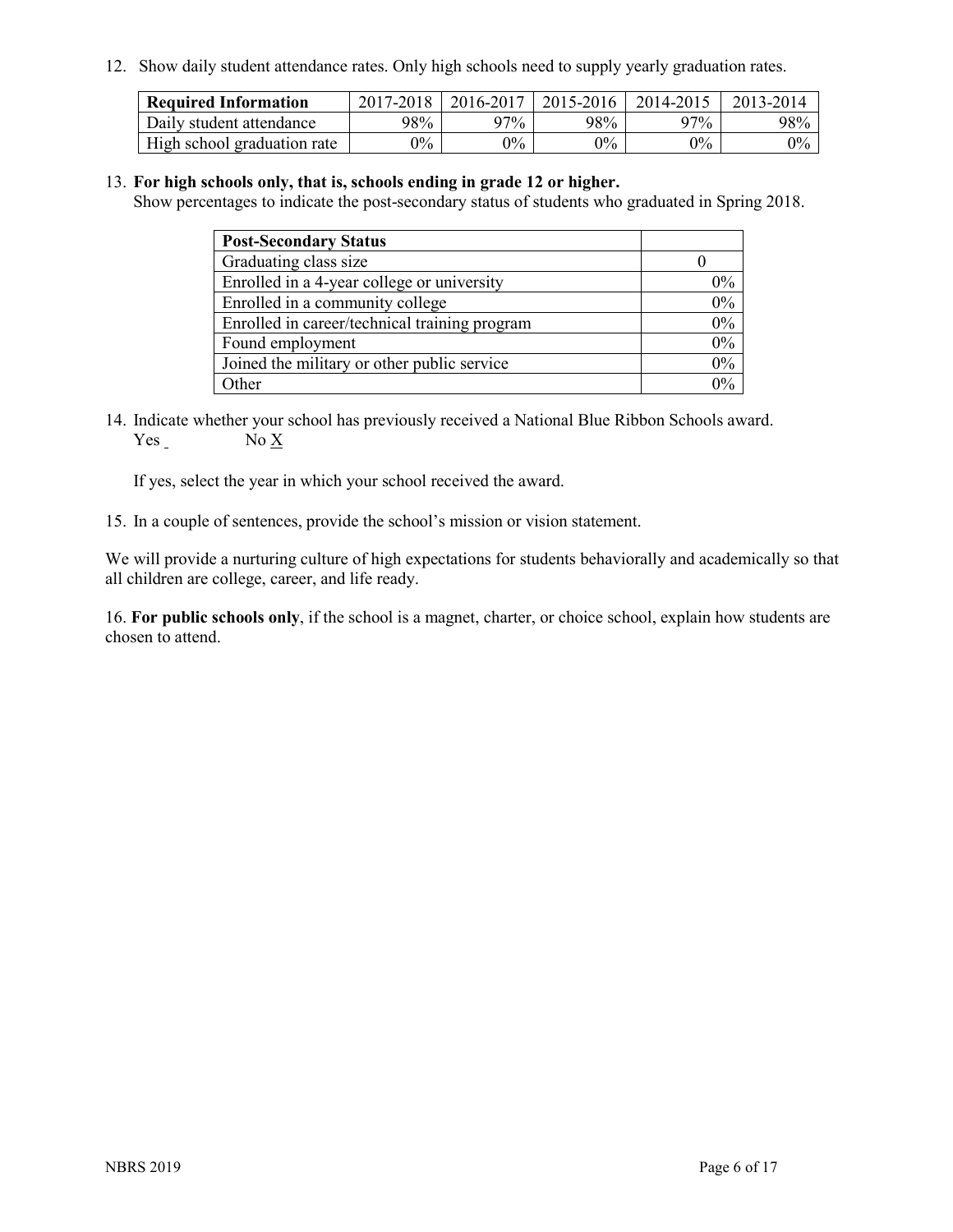12. Show daily student attendance rates. Only high schools need to supply yearly graduation rates.

| <b>Required Information</b> | $2017 - 2018$ | 2016-2017 | 2015-2016 | 2014-2015 | 2013-2014 |
|-----------------------------|---------------|-----------|-----------|-----------|-----------|
| Daily student attendance    | 98%           | 97%       | 98%       | $27\%$    | 98%       |
| High school graduation rate | $0\%$         | $0\%$     | $0\%$     | $9\%$     | $0\%$     |

#### 13. **For high schools only, that is, schools ending in grade 12 or higher.**

Show percentages to indicate the post-secondary status of students who graduated in Spring 2018.

| <b>Post-Secondary Status</b>                  |       |
|-----------------------------------------------|-------|
| Graduating class size                         |       |
| Enrolled in a 4-year college or university    | $0\%$ |
| Enrolled in a community college               | 0%    |
| Enrolled in career/technical training program | 0%    |
| Found employment                              | 0%    |
| Joined the military or other public service   | 0%    |
| Other                                         | በ%    |

14. Indicate whether your school has previously received a National Blue Ribbon Schools award. Yes No X

If yes, select the year in which your school received the award.

15. In a couple of sentences, provide the school's mission or vision statement.

We will provide a nurturing culture of high expectations for students behaviorally and academically so that all children are college, career, and life ready.

16. **For public schools only**, if the school is a magnet, charter, or choice school, explain how students are chosen to attend.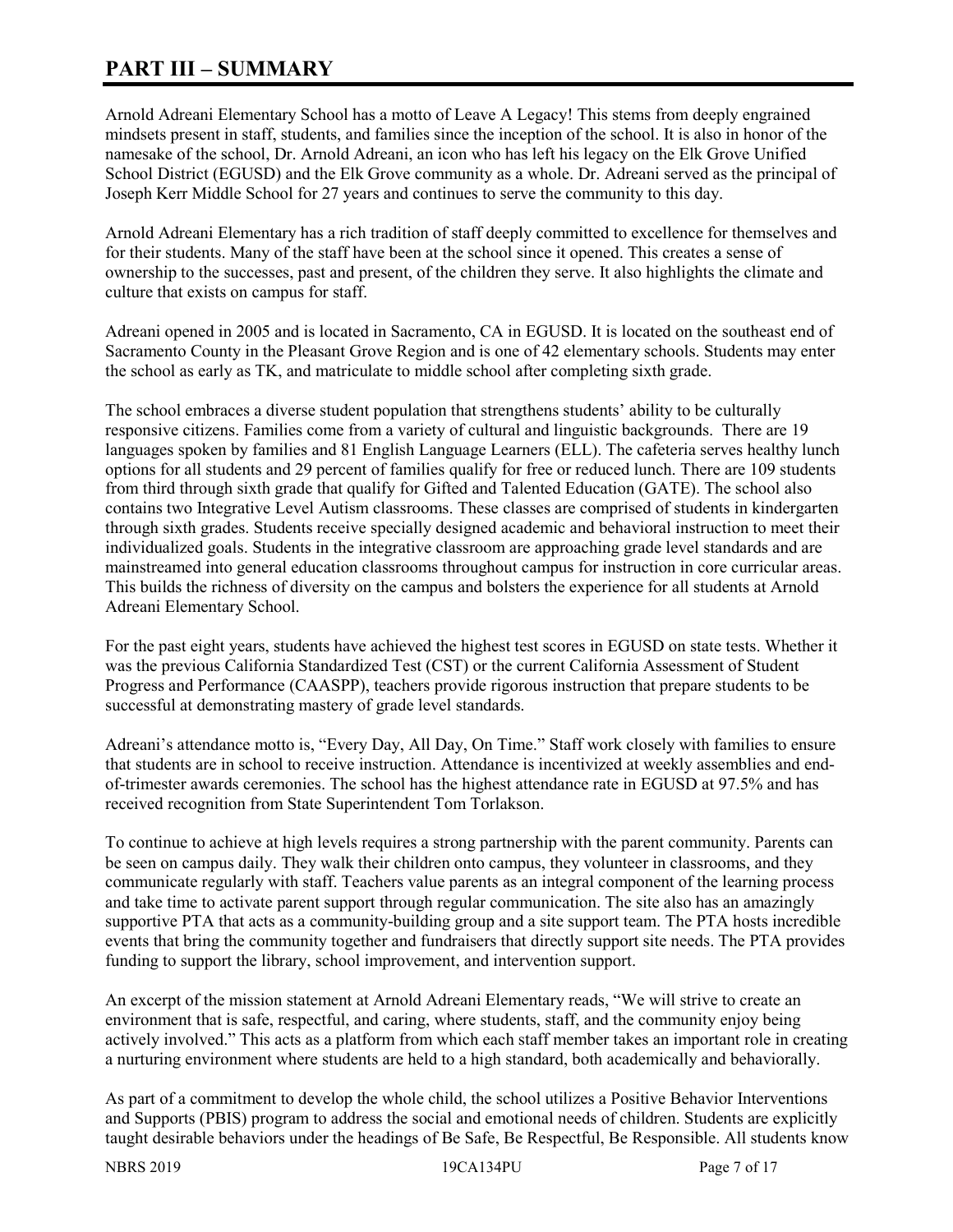# **PART III – SUMMARY**

Arnold Adreani Elementary School has a motto of Leave A Legacy! This stems from deeply engrained mindsets present in staff, students, and families since the inception of the school. It is also in honor of the namesake of the school, Dr. Arnold Adreani, an icon who has left his legacy on the Elk Grove Unified School District (EGUSD) and the Elk Grove community as a whole. Dr. Adreani served as the principal of Joseph Kerr Middle School for 27 years and continues to serve the community to this day.

Arnold Adreani Elementary has a rich tradition of staff deeply committed to excellence for themselves and for their students. Many of the staff have been at the school since it opened. This creates a sense of ownership to the successes, past and present, of the children they serve. It also highlights the climate and culture that exists on campus for staff.

Adreani opened in 2005 and is located in Sacramento, CA in EGUSD. It is located on the southeast end of Sacramento County in the Pleasant Grove Region and is one of 42 elementary schools. Students may enter the school as early as TK, and matriculate to middle school after completing sixth grade.

The school embraces a diverse student population that strengthens students' ability to be culturally responsive citizens. Families come from a variety of cultural and linguistic backgrounds. There are 19 languages spoken by families and 81 English Language Learners (ELL). The cafeteria serves healthy lunch options for all students and 29 percent of families qualify for free or reduced lunch. There are 109 students from third through sixth grade that qualify for Gifted and Talented Education (GATE). The school also contains two Integrative Level Autism classrooms. These classes are comprised of students in kindergarten through sixth grades. Students receive specially designed academic and behavioral instruction to meet their individualized goals. Students in the integrative classroom are approaching grade level standards and are mainstreamed into general education classrooms throughout campus for instruction in core curricular areas. This builds the richness of diversity on the campus and bolsters the experience for all students at Arnold Adreani Elementary School.

For the past eight years, students have achieved the highest test scores in EGUSD on state tests. Whether it was the previous California Standardized Test (CST) or the current California Assessment of Student Progress and Performance (CAASPP), teachers provide rigorous instruction that prepare students to be successful at demonstrating mastery of grade level standards.

Adreani's attendance motto is, "Every Day, All Day, On Time." Staff work closely with families to ensure that students are in school to receive instruction. Attendance is incentivized at weekly assemblies and endof-trimester awards ceremonies. The school has the highest attendance rate in EGUSD at 97.5% and has received recognition from State Superintendent Tom Torlakson.

To continue to achieve at high levels requires a strong partnership with the parent community. Parents can be seen on campus daily. They walk their children onto campus, they volunteer in classrooms, and they communicate regularly with staff. Teachers value parents as an integral component of the learning process and take time to activate parent support through regular communication. The site also has an amazingly supportive PTA that acts as a community-building group and a site support team. The PTA hosts incredible events that bring the community together and fundraisers that directly support site needs. The PTA provides funding to support the library, school improvement, and intervention support.

An excerpt of the mission statement at Arnold Adreani Elementary reads, "We will strive to create an environment that is safe, respectful, and caring, where students, staff, and the community enjoy being actively involved." This acts as a platform from which each staff member takes an important role in creating a nurturing environment where students are held to a high standard, both academically and behaviorally.

As part of a commitment to develop the whole child, the school utilizes a Positive Behavior Interventions and Supports (PBIS) program to address the social and emotional needs of children. Students are explicitly taught desirable behaviors under the headings of Be Safe, Be Respectful, Be Responsible. All students know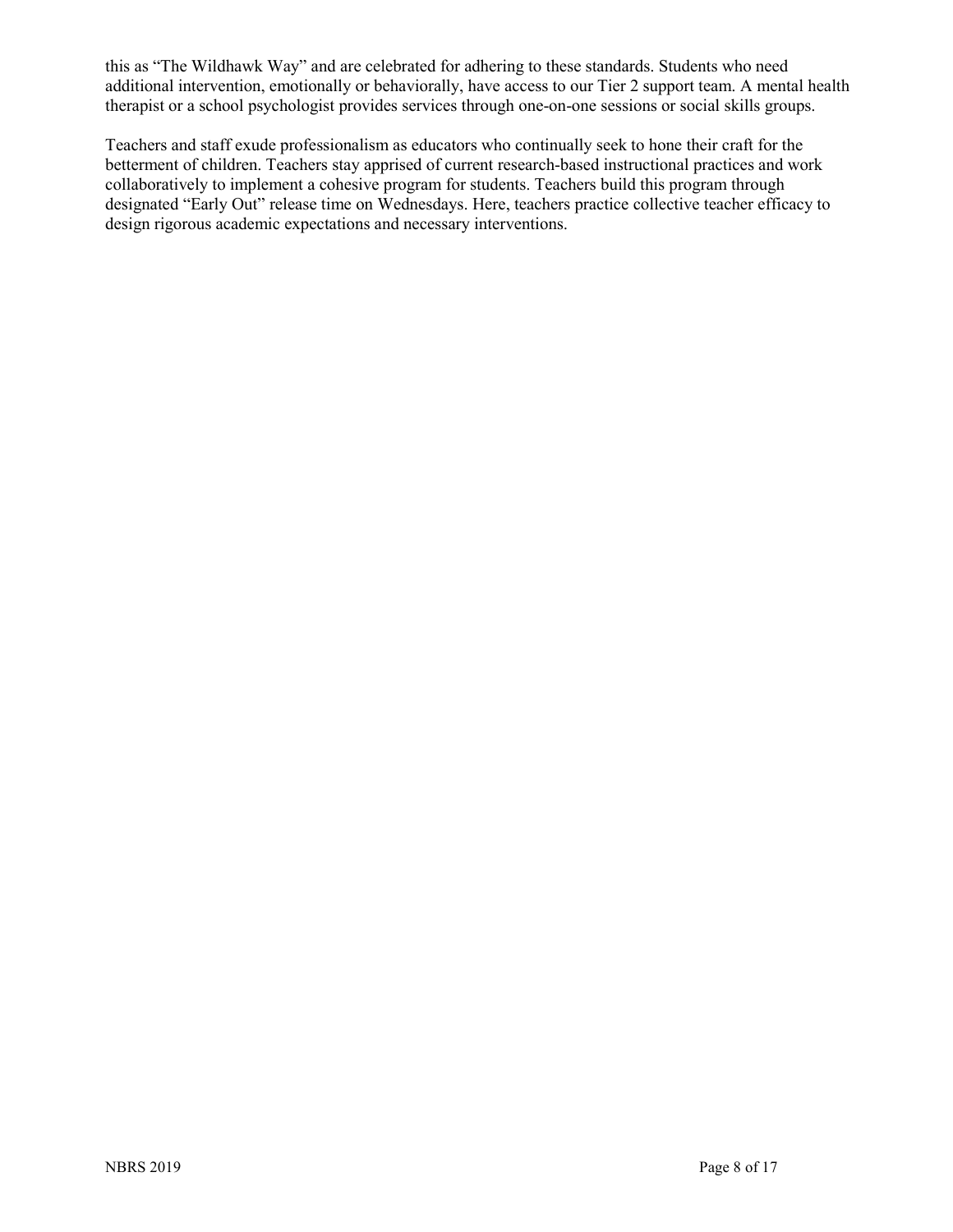this as "The Wildhawk Way" and are celebrated for adhering to these standards. Students who need additional intervention, emotionally or behaviorally, have access to our Tier 2 support team. A mental health therapist or a school psychologist provides services through one-on-one sessions or social skills groups.

Teachers and staff exude professionalism as educators who continually seek to hone their craft for the betterment of children. Teachers stay apprised of current research-based instructional practices and work collaboratively to implement a cohesive program for students. Teachers build this program through designated "Early Out" release time on Wednesdays. Here, teachers practice collective teacher efficacy to design rigorous academic expectations and necessary interventions.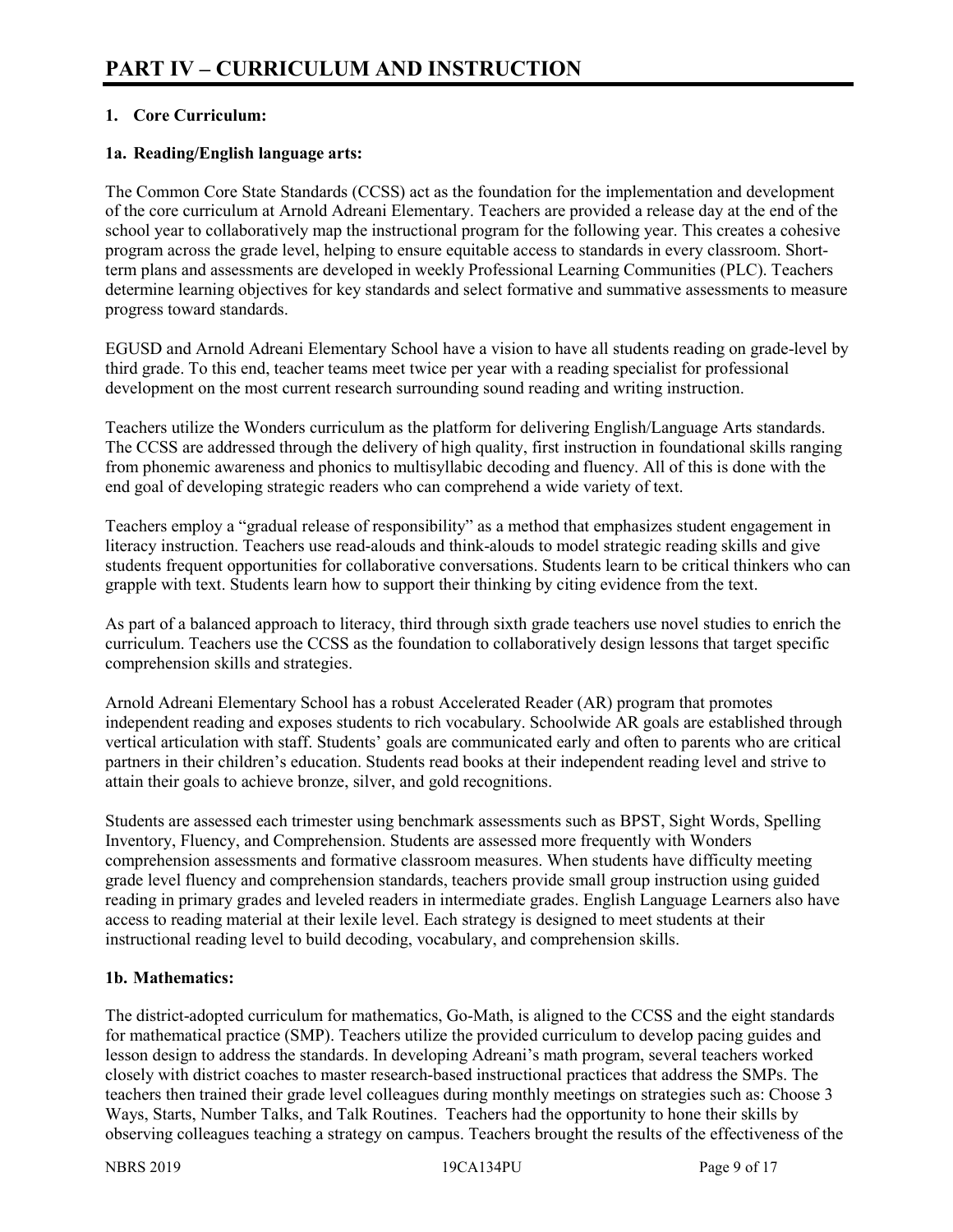# **1. Core Curriculum:**

# **1a. Reading/English language arts:**

The Common Core State Standards (CCSS) act as the foundation for the implementation and development of the core curriculum at Arnold Adreani Elementary. Teachers are provided a release day at the end of the school year to collaboratively map the instructional program for the following year. This creates a cohesive program across the grade level, helping to ensure equitable access to standards in every classroom. Shortterm plans and assessments are developed in weekly Professional Learning Communities (PLC). Teachers determine learning objectives for key standards and select formative and summative assessments to measure progress toward standards.

EGUSD and Arnold Adreani Elementary School have a vision to have all students reading on grade-level by third grade. To this end, teacher teams meet twice per year with a reading specialist for professional development on the most current research surrounding sound reading and writing instruction.

Teachers utilize the Wonders curriculum as the platform for delivering English/Language Arts standards. The CCSS are addressed through the delivery of high quality, first instruction in foundational skills ranging from phonemic awareness and phonics to multisyllabic decoding and fluency. All of this is done with the end goal of developing strategic readers who can comprehend a wide variety of text.

Teachers employ a "gradual release of responsibility" as a method that emphasizes student engagement in literacy instruction. Teachers use read-alouds and think-alouds to model strategic reading skills and give students frequent opportunities for collaborative conversations. Students learn to be critical thinkers who can grapple with text. Students learn how to support their thinking by citing evidence from the text.

As part of a balanced approach to literacy, third through sixth grade teachers use novel studies to enrich the curriculum. Teachers use the CCSS as the foundation to collaboratively design lessons that target specific comprehension skills and strategies.

Arnold Adreani Elementary School has a robust Accelerated Reader (AR) program that promotes independent reading and exposes students to rich vocabulary. Schoolwide AR goals are established through vertical articulation with staff. Students' goals are communicated early and often to parents who are critical partners in their children's education. Students read books at their independent reading level and strive to attain their goals to achieve bronze, silver, and gold recognitions.

Students are assessed each trimester using benchmark assessments such as BPST, Sight Words, Spelling Inventory, Fluency, and Comprehension. Students are assessed more frequently with Wonders comprehension assessments and formative classroom measures. When students have difficulty meeting grade level fluency and comprehension standards, teachers provide small group instruction using guided reading in primary grades and leveled readers in intermediate grades. English Language Learners also have access to reading material at their lexile level. Each strategy is designed to meet students at their instructional reading level to build decoding, vocabulary, and comprehension skills.

#### **1b. Mathematics:**

The district-adopted curriculum for mathematics, Go-Math, is aligned to the CCSS and the eight standards for mathematical practice (SMP). Teachers utilize the provided curriculum to develop pacing guides and lesson design to address the standards. In developing Adreani's math program, several teachers worked closely with district coaches to master research-based instructional practices that address the SMPs. The teachers then trained their grade level colleagues during monthly meetings on strategies such as: Choose 3 Ways, Starts, Number Talks, and Talk Routines. Teachers had the opportunity to hone their skills by observing colleagues teaching a strategy on campus. Teachers brought the results of the effectiveness of the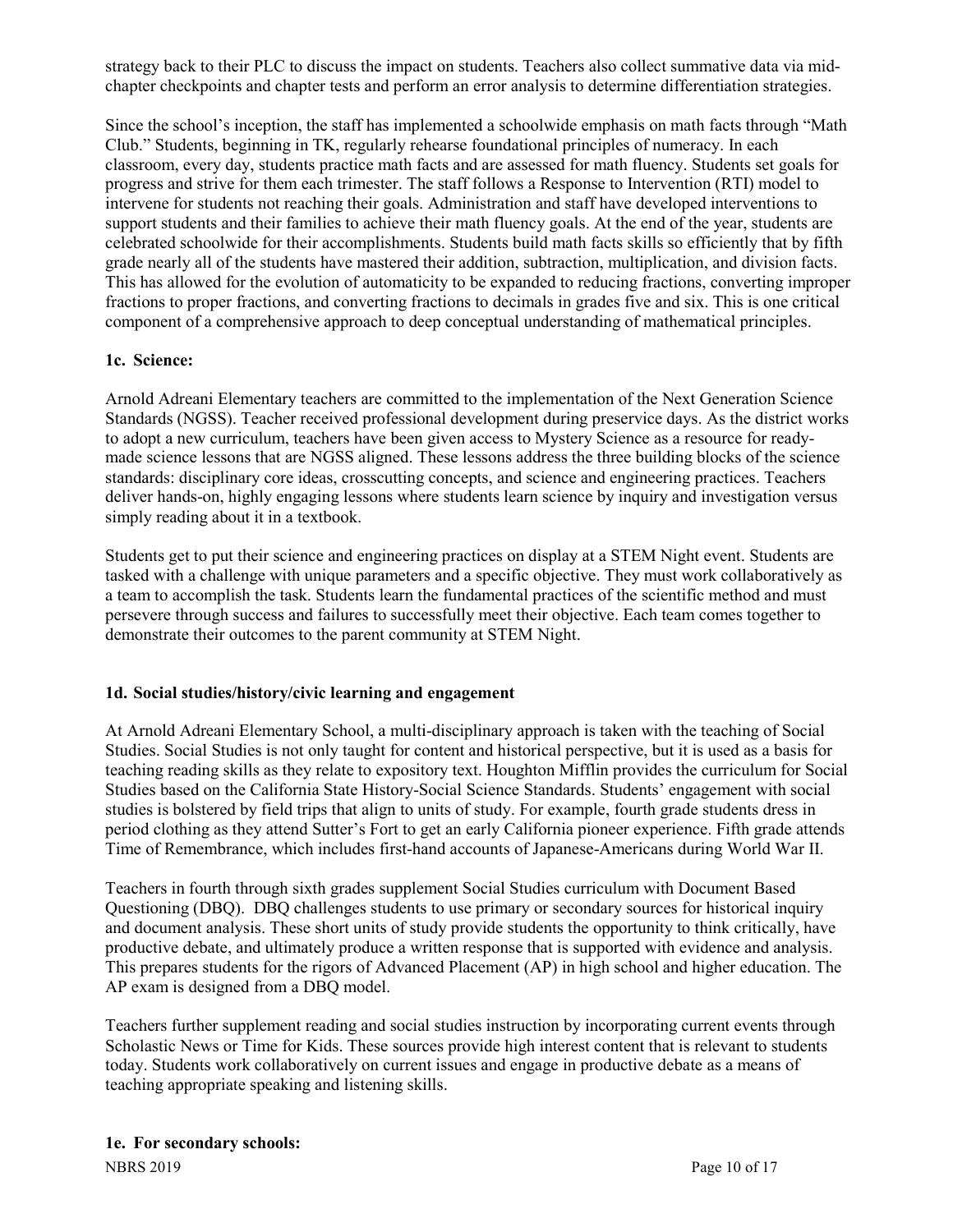strategy back to their PLC to discuss the impact on students. Teachers also collect summative data via midchapter checkpoints and chapter tests and perform an error analysis to determine differentiation strategies.

Since the school's inception, the staff has implemented a schoolwide emphasis on math facts through "Math Club." Students, beginning in TK, regularly rehearse foundational principles of numeracy. In each classroom, every day, students practice math facts and are assessed for math fluency. Students set goals for progress and strive for them each trimester. The staff follows a Response to Intervention (RTI) model to intervene for students not reaching their goals. Administration and staff have developed interventions to support students and their families to achieve their math fluency goals. At the end of the year, students are celebrated schoolwide for their accomplishments. Students build math facts skills so efficiently that by fifth grade nearly all of the students have mastered their addition, subtraction, multiplication, and division facts. This has allowed for the evolution of automaticity to be expanded to reducing fractions, converting improper fractions to proper fractions, and converting fractions to decimals in grades five and six. This is one critical component of a comprehensive approach to deep conceptual understanding of mathematical principles.

# **1c. Science:**

Arnold Adreani Elementary teachers are committed to the implementation of the Next Generation Science Standards (NGSS). Teacher received professional development during preservice days. As the district works to adopt a new curriculum, teachers have been given access to Mystery Science as a resource for readymade science lessons that are NGSS aligned. These lessons address the three building blocks of the science standards: disciplinary core ideas, crosscutting concepts, and science and engineering practices. Teachers deliver hands-on, highly engaging lessons where students learn science by inquiry and investigation versus simply reading about it in a textbook.

Students get to put their science and engineering practices on display at a STEM Night event. Students are tasked with a challenge with unique parameters and a specific objective. They must work collaboratively as a team to accomplish the task. Students learn the fundamental practices of the scientific method and must persevere through success and failures to successfully meet their objective. Each team comes together to demonstrate their outcomes to the parent community at STEM Night.

# **1d. Social studies/history/civic learning and engagement**

At Arnold Adreani Elementary School, a multi-disciplinary approach is taken with the teaching of Social Studies. Social Studies is not only taught for content and historical perspective, but it is used as a basis for teaching reading skills as they relate to expository text. Houghton Mifflin provides the curriculum for Social Studies based on the California State History-Social Science Standards. Students' engagement with social studies is bolstered by field trips that align to units of study. For example, fourth grade students dress in period clothing as they attend Sutter's Fort to get an early California pioneer experience. Fifth grade attends Time of Remembrance, which includes first-hand accounts of Japanese-Americans during World War II.

Teachers in fourth through sixth grades supplement Social Studies curriculum with Document Based Questioning (DBQ). DBQ challenges students to use primary or secondary sources for historical inquiry and document analysis. These short units of study provide students the opportunity to think critically, have productive debate, and ultimately produce a written response that is supported with evidence and analysis. This prepares students for the rigors of Advanced Placement (AP) in high school and higher education. The AP exam is designed from a DBQ model.

Teachers further supplement reading and social studies instruction by incorporating current events through Scholastic News or Time for Kids. These sources provide high interest content that is relevant to students today. Students work collaboratively on current issues and engage in productive debate as a means of teaching appropriate speaking and listening skills.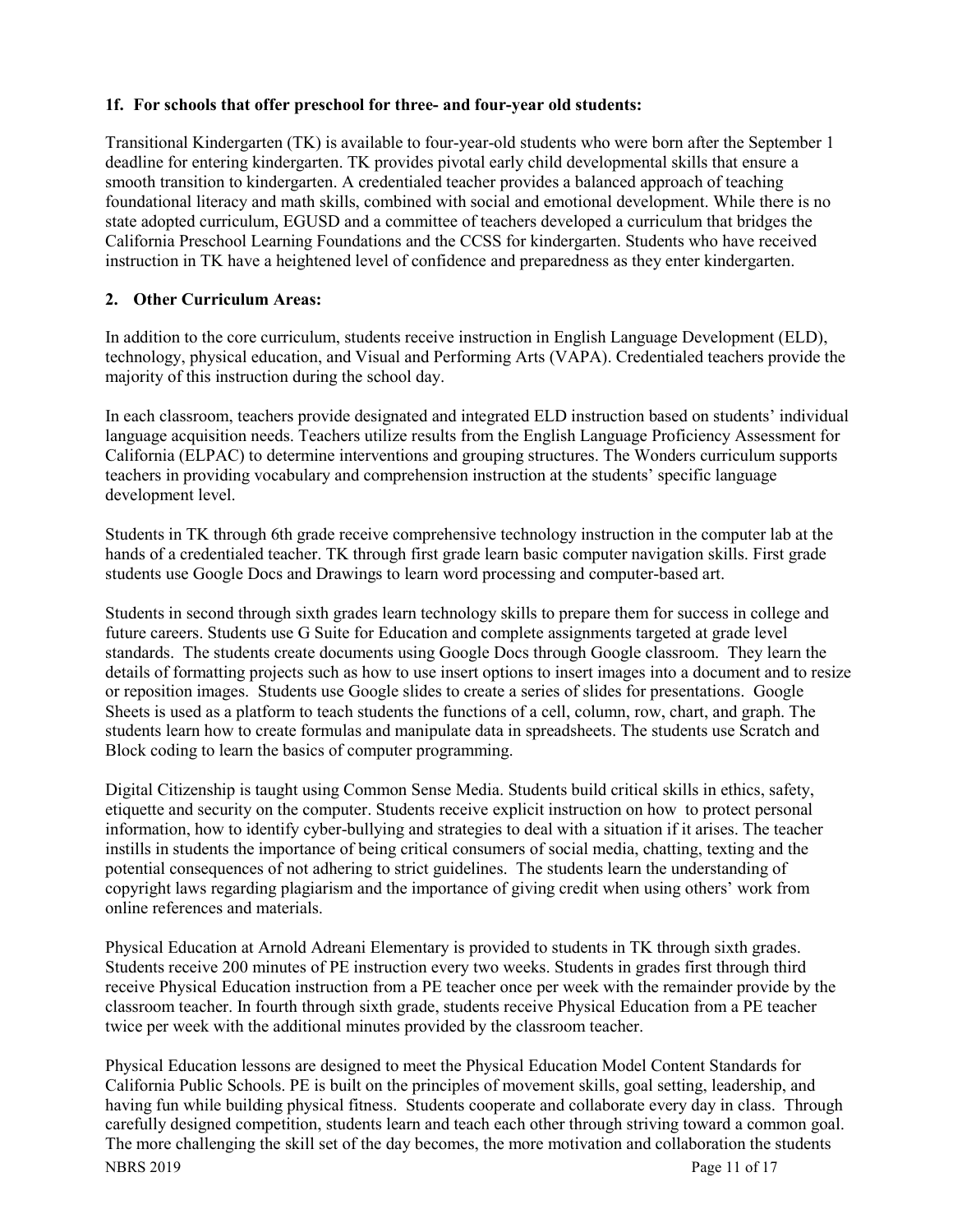#### **1f. For schools that offer preschool for three- and four-year old students:**

Transitional Kindergarten (TK) is available to four-year-old students who were born after the September 1 deadline for entering kindergarten. TK provides pivotal early child developmental skills that ensure a smooth transition to kindergarten. A credentialed teacher provides a balanced approach of teaching foundational literacy and math skills, combined with social and emotional development. While there is no state adopted curriculum, EGUSD and a committee of teachers developed a curriculum that bridges the California Preschool Learning Foundations and the CCSS for kindergarten. Students who have received instruction in TK have a heightened level of confidence and preparedness as they enter kindergarten.

# **2. Other Curriculum Areas:**

In addition to the core curriculum, students receive instruction in English Language Development (ELD), technology, physical education, and Visual and Performing Arts (VAPA). Credentialed teachers provide the majority of this instruction during the school day.

In each classroom, teachers provide designated and integrated ELD instruction based on students' individual language acquisition needs. Teachers utilize results from the English Language Proficiency Assessment for California (ELPAC) to determine interventions and grouping structures. The Wonders curriculum supports teachers in providing vocabulary and comprehension instruction at the students' specific language development level.

Students in TK through 6th grade receive comprehensive technology instruction in the computer lab at the hands of a credentialed teacher. TK through first grade learn basic computer navigation skills. First grade students use Google Docs and Drawings to learn word processing and computer-based art.

Students in second through sixth grades learn technology skills to prepare them for success in college and future careers. Students use G Suite for Education and complete assignments targeted at grade level standards. The students create documents using Google Docs through Google classroom. They learn the details of formatting projects such as how to use insert options to insert images into a document and to resize or reposition images. Students use Google slides to create a series of slides for presentations. Google Sheets is used as a platform to teach students the functions of a cell, column, row, chart, and graph. The students learn how to create formulas and manipulate data in spreadsheets. The students use Scratch and Block coding to learn the basics of computer programming.

Digital Citizenship is taught using Common Sense Media. Students build critical skills in ethics, safety, etiquette and security on the computer. Students receive explicit instruction on how to protect personal information, how to identify cyber-bullying and strategies to deal with a situation if it arises. The teacher instills in students the importance of being critical consumers of social media, chatting, texting and the potential consequences of not adhering to strict guidelines. The students learn the understanding of copyright laws regarding plagiarism and the importance of giving credit when using others' work from online references and materials.

Physical Education at Arnold Adreani Elementary is provided to students in TK through sixth grades. Students receive 200 minutes of PE instruction every two weeks. Students in grades first through third receive Physical Education instruction from a PE teacher once per week with the remainder provide by the classroom teacher. In fourth through sixth grade, students receive Physical Education from a PE teacher twice per week with the additional minutes provided by the classroom teacher.

NBRS 2019 Page 11 of 17 Physical Education lessons are designed to meet the Physical Education Model Content Standards for California Public Schools. PE is built on the principles of movement skills, goal setting, leadership, and having fun while building physical fitness. Students cooperate and collaborate every day in class. Through carefully designed competition, students learn and teach each other through striving toward a common goal. The more challenging the skill set of the day becomes, the more motivation and collaboration the students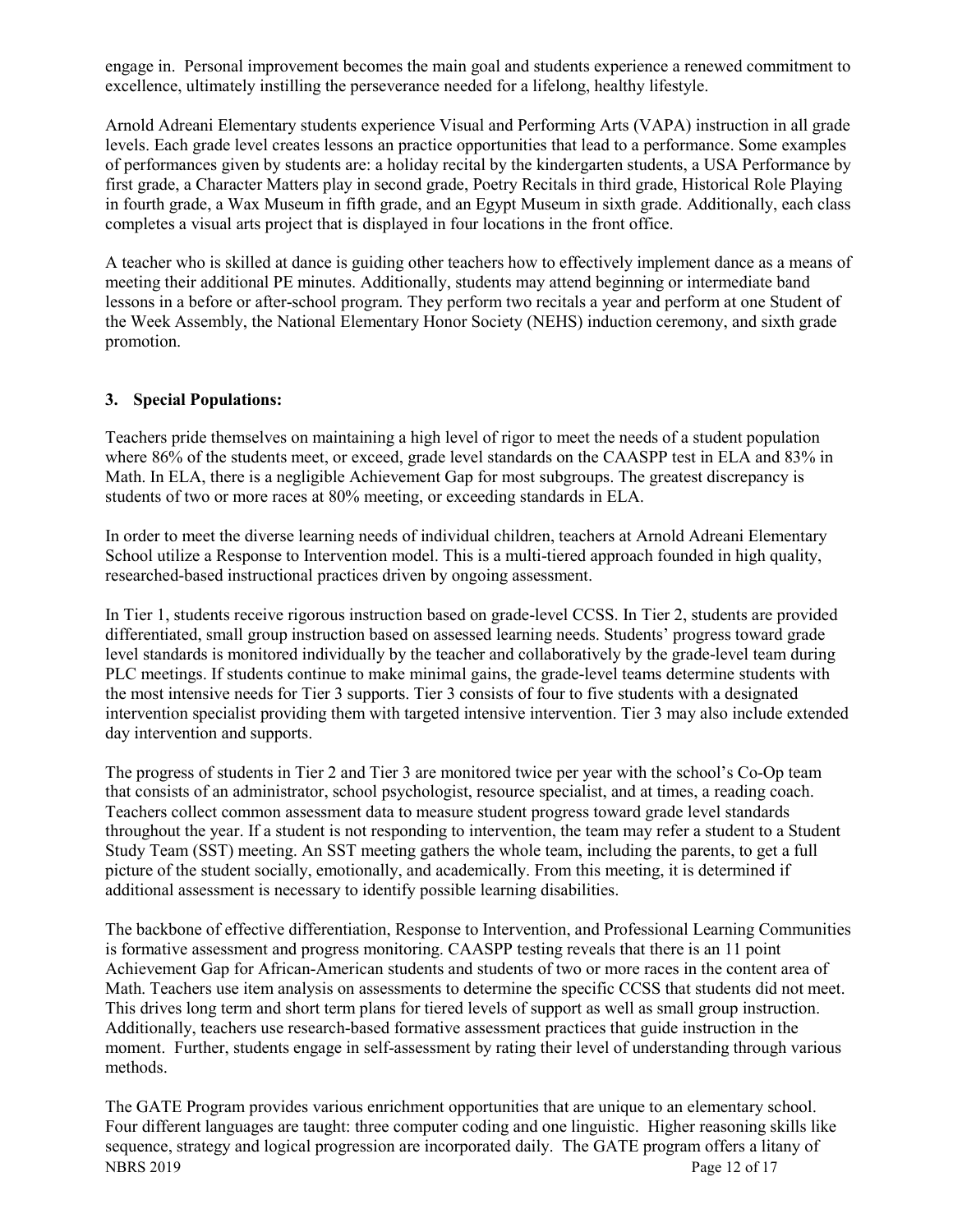engage in. Personal improvement becomes the main goal and students experience a renewed commitment to excellence, ultimately instilling the perseverance needed for a lifelong, healthy lifestyle.

Arnold Adreani Elementary students experience Visual and Performing Arts (VAPA) instruction in all grade levels. Each grade level creates lessons an practice opportunities that lead to a performance. Some examples of performances given by students are: a holiday recital by the kindergarten students, a USA Performance by first grade, a Character Matters play in second grade, Poetry Recitals in third grade, Historical Role Playing in fourth grade, a Wax Museum in fifth grade, and an Egypt Museum in sixth grade. Additionally, each class completes a visual arts project that is displayed in four locations in the front office.

A teacher who is skilled at dance is guiding other teachers how to effectively implement dance as a means of meeting their additional PE minutes. Additionally, students may attend beginning or intermediate band lessons in a before or after-school program. They perform two recitals a year and perform at one Student of the Week Assembly, the National Elementary Honor Society (NEHS) induction ceremony, and sixth grade promotion.

#### **3. Special Populations:**

Teachers pride themselves on maintaining a high level of rigor to meet the needs of a student population where 86% of the students meet, or exceed, grade level standards on the CAASPP test in ELA and 83% in Math. In ELA, there is a negligible Achievement Gap for most subgroups. The greatest discrepancy is students of two or more races at 80% meeting, or exceeding standards in ELA.

In order to meet the diverse learning needs of individual children, teachers at Arnold Adreani Elementary School utilize a Response to Intervention model. This is a multi-tiered approach founded in high quality, researched-based instructional practices driven by ongoing assessment.

In Tier 1, students receive rigorous instruction based on grade-level CCSS. In Tier 2, students are provided differentiated, small group instruction based on assessed learning needs. Students' progress toward grade level standards is monitored individually by the teacher and collaboratively by the grade-level team during PLC meetings. If students continue to make minimal gains, the grade-level teams determine students with the most intensive needs for Tier 3 supports. Tier 3 consists of four to five students with a designated intervention specialist providing them with targeted intensive intervention. Tier 3 may also include extended day intervention and supports.

The progress of students in Tier 2 and Tier 3 are monitored twice per year with the school's Co-Op team that consists of an administrator, school psychologist, resource specialist, and at times, a reading coach. Teachers collect common assessment data to measure student progress toward grade level standards throughout the year. If a student is not responding to intervention, the team may refer a student to a Student Study Team (SST) meeting. An SST meeting gathers the whole team, including the parents, to get a full picture of the student socially, emotionally, and academically. From this meeting, it is determined if additional assessment is necessary to identify possible learning disabilities.

The backbone of effective differentiation, Response to Intervention, and Professional Learning Communities is formative assessment and progress monitoring. CAASPP testing reveals that there is an 11 point Achievement Gap for African-American students and students of two or more races in the content area of Math. Teachers use item analysis on assessments to determine the specific CCSS that students did not meet. This drives long term and short term plans for tiered levels of support as well as small group instruction. Additionally, teachers use research-based formative assessment practices that guide instruction in the moment. Further, students engage in self-assessment by rating their level of understanding through various methods.

NBRS 2019 Page 12 of 17 The GATE Program provides various enrichment opportunities that are unique to an elementary school. Four different languages are taught: three computer coding and one linguistic. Higher reasoning skills like sequence, strategy and logical progression are incorporated daily. The GATE program offers a litany of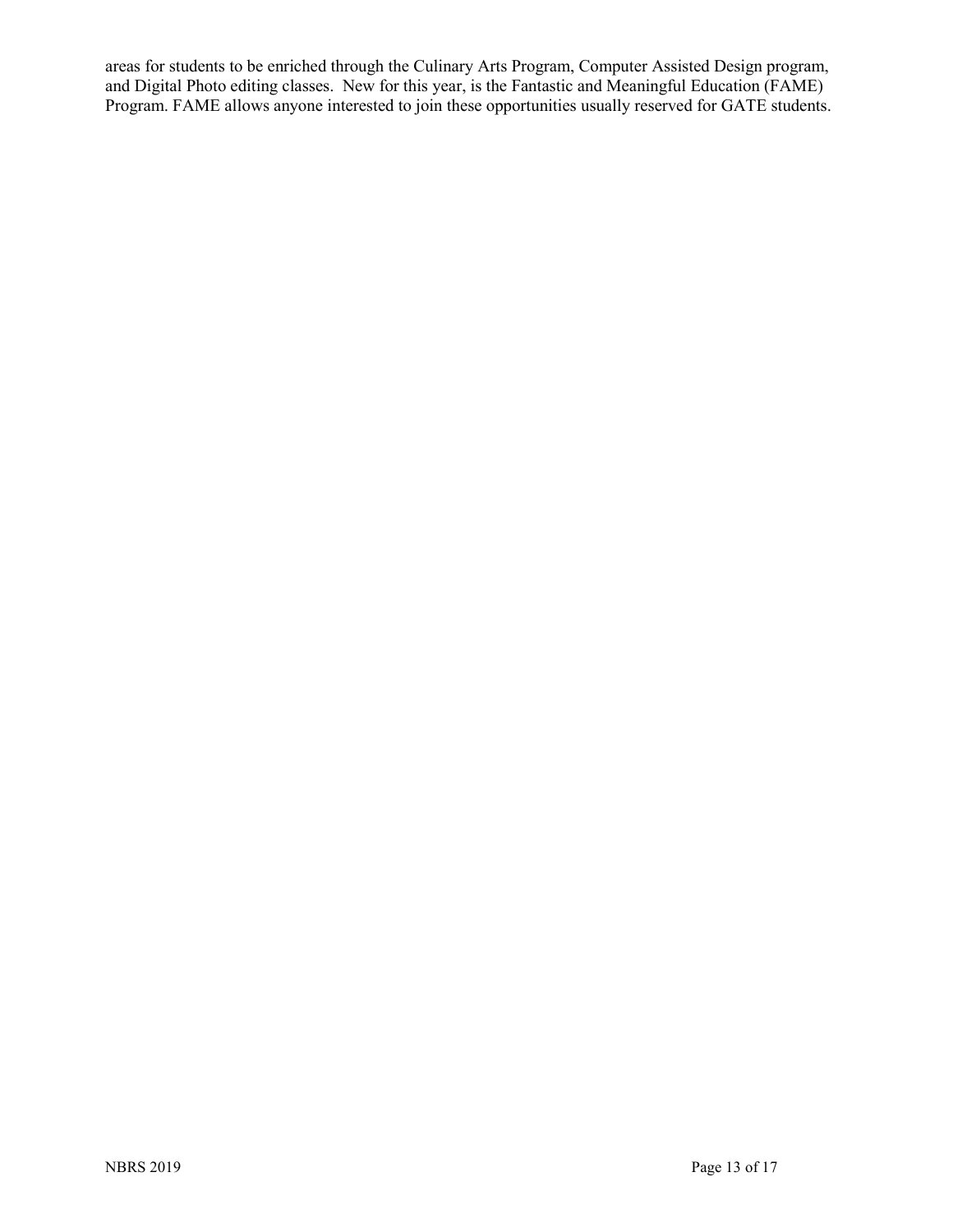areas for students to be enriched through the Culinary Arts Program, Computer Assisted Design program, and Digital Photo editing classes. New for this year, is the Fantastic and Meaningful Education (FAME) Program. FAME allows anyone interested to join these opportunities usually reserved for GATE students.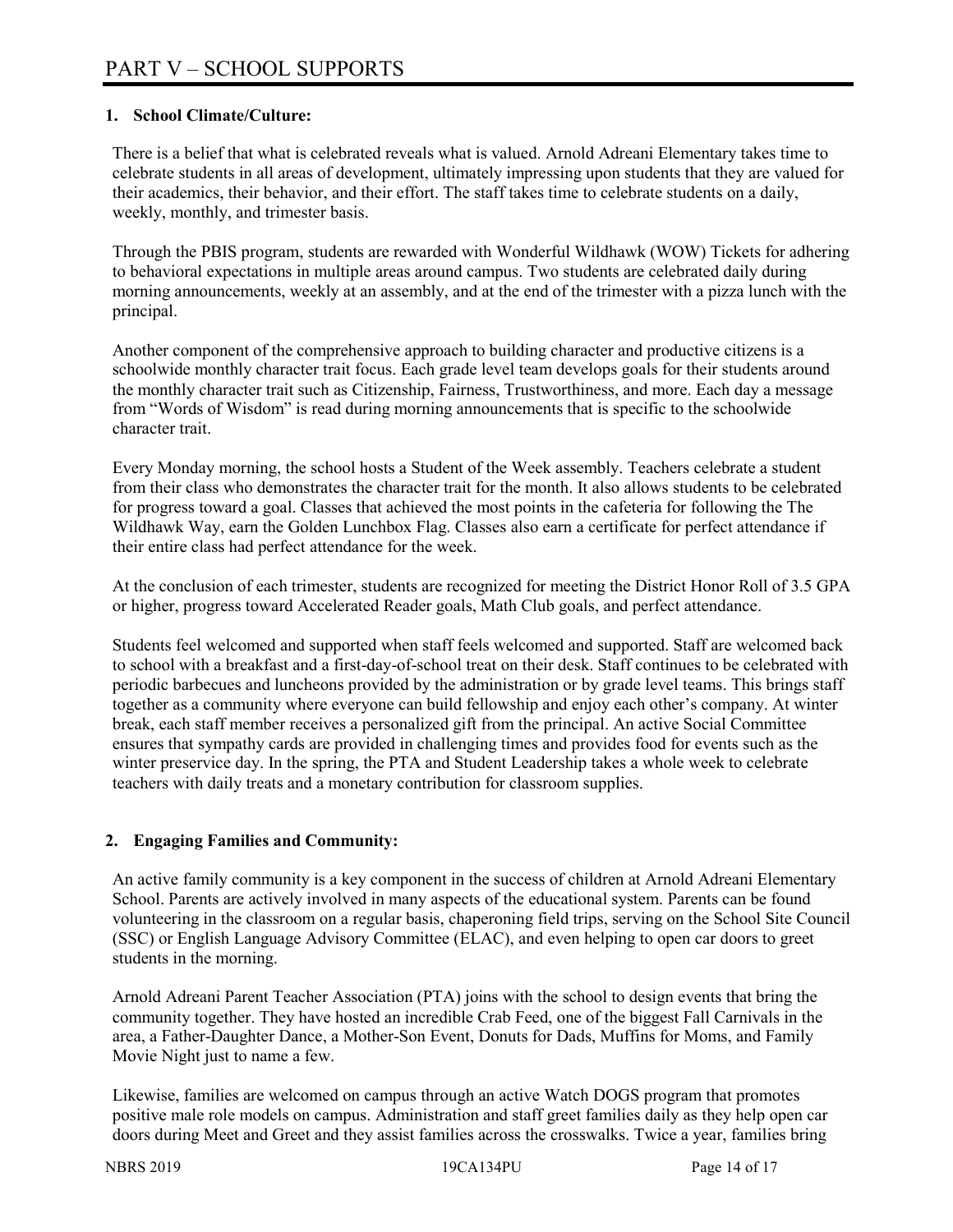### **1. School Climate/Culture:**

There is a belief that what is celebrated reveals what is valued. Arnold Adreani Elementary takes time to celebrate students in all areas of development, ultimately impressing upon students that they are valued for their academics, their behavior, and their effort. The staff takes time to celebrate students on a daily, weekly, monthly, and trimester basis.

Through the PBIS program, students are rewarded with Wonderful Wildhawk (WOW) Tickets for adhering to behavioral expectations in multiple areas around campus. Two students are celebrated daily during morning announcements, weekly at an assembly, and at the end of the trimester with a pizza lunch with the principal.

Another component of the comprehensive approach to building character and productive citizens is a schoolwide monthly character trait focus. Each grade level team develops goals for their students around the monthly character trait such as Citizenship, Fairness, Trustworthiness, and more. Each day a message from "Words of Wisdom" is read during morning announcements that is specific to the schoolwide character trait.

Every Monday morning, the school hosts a Student of the Week assembly. Teachers celebrate a student from their class who demonstrates the character trait for the month. It also allows students to be celebrated for progress toward a goal. Classes that achieved the most points in the cafeteria for following the The Wildhawk Way, earn the Golden Lunchbox Flag. Classes also earn a certificate for perfect attendance if their entire class had perfect attendance for the week.

At the conclusion of each trimester, students are recognized for meeting the District Honor Roll of 3.5 GPA or higher, progress toward Accelerated Reader goals, Math Club goals, and perfect attendance.

Students feel welcomed and supported when staff feels welcomed and supported. Staff are welcomed back to school with a breakfast and a first-day-of-school treat on their desk. Staff continues to be celebrated with periodic barbecues and luncheons provided by the administration or by grade level teams. This brings staff together as a community where everyone can build fellowship and enjoy each other's company. At winter break, each staff member receives a personalized gift from the principal. An active Social Committee ensures that sympathy cards are provided in challenging times and provides food for events such as the winter preservice day. In the spring, the PTA and Student Leadership takes a whole week to celebrate teachers with daily treats and a monetary contribution for classroom supplies.

# **2. Engaging Families and Community:**

An active family community is a key component in the success of children at Arnold Adreani Elementary School. Parents are actively involved in many aspects of the educational system. Parents can be found volunteering in the classroom on a regular basis, chaperoning field trips, serving on the School Site Council (SSC) or English Language Advisory Committee (ELAC), and even helping to open car doors to greet students in the morning.

Arnold Adreani Parent Teacher Association (PTA) joins with the school to design events that bring the community together. They have hosted an incredible Crab Feed, one of the biggest Fall Carnivals in the area, a Father-Daughter Dance, a Mother-Son Event, Donuts for Dads, Muffins for Moms, and Family Movie Night just to name a few.

Likewise, families are welcomed on campus through an active Watch DOGS program that promotes positive male role models on campus. Administration and staff greet families daily as they help open car doors during Meet and Greet and they assist families across the crosswalks. Twice a year, families bring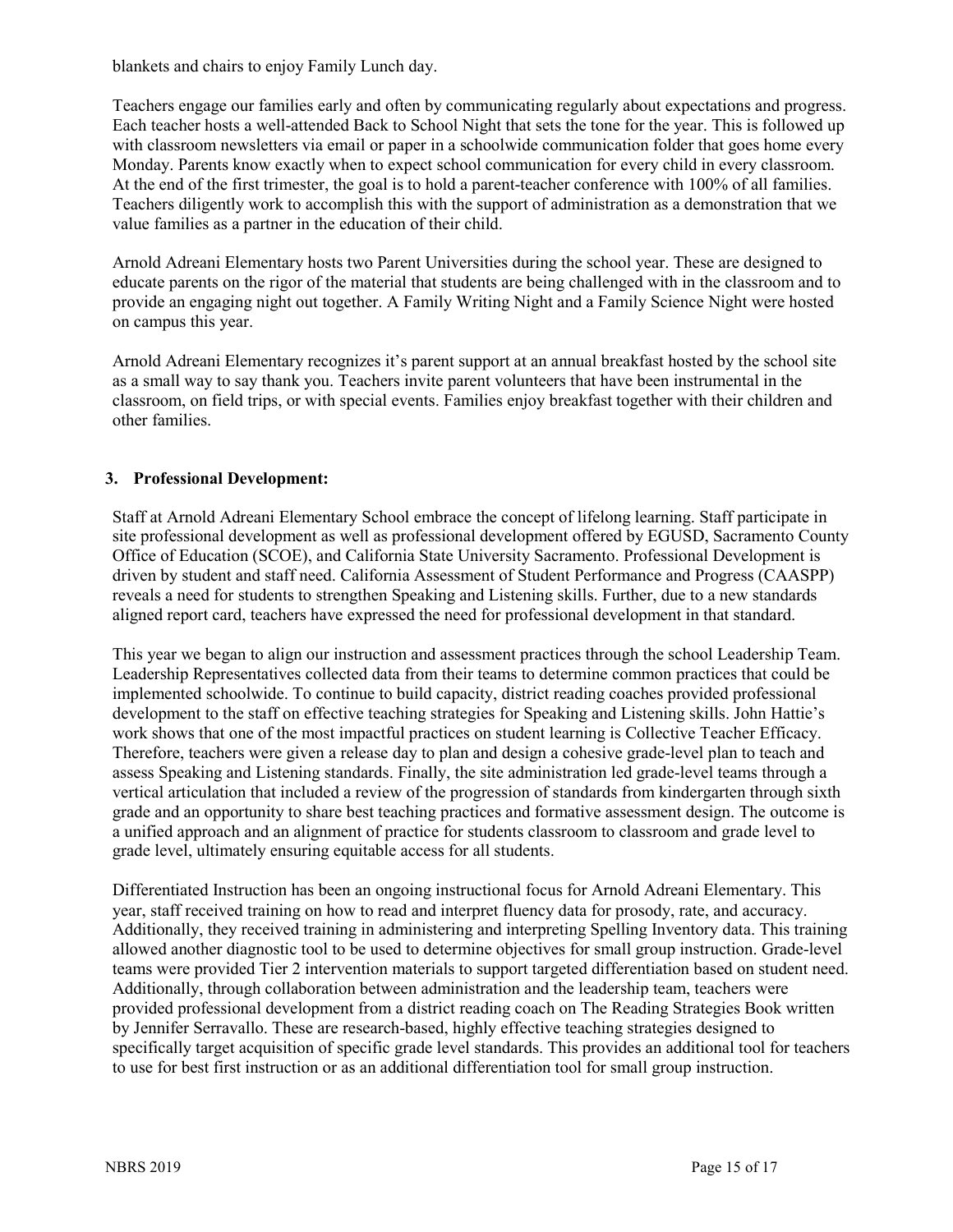blankets and chairs to enjoy Family Lunch day.

Teachers engage our families early and often by communicating regularly about expectations and progress. Each teacher hosts a well-attended Back to School Night that sets the tone for the year. This is followed up with classroom newsletters via email or paper in a schoolwide communication folder that goes home every Monday. Parents know exactly when to expect school communication for every child in every classroom. At the end of the first trimester, the goal is to hold a parent-teacher conference with 100% of all families. Teachers diligently work to accomplish this with the support of administration as a demonstration that we value families as a partner in the education of their child.

Arnold Adreani Elementary hosts two Parent Universities during the school year. These are designed to educate parents on the rigor of the material that students are being challenged with in the classroom and to provide an engaging night out together. A Family Writing Night and a Family Science Night were hosted on campus this year.

Arnold Adreani Elementary recognizes it's parent support at an annual breakfast hosted by the school site as a small way to say thank you. Teachers invite parent volunteers that have been instrumental in the classroom, on field trips, or with special events. Families enjoy breakfast together with their children and other families.

### **3. Professional Development:**

Staff at Arnold Adreani Elementary School embrace the concept of lifelong learning. Staff participate in site professional development as well as professional development offered by EGUSD, Sacramento County Office of Education (SCOE), and California State University Sacramento. Professional Development is driven by student and staff need. California Assessment of Student Performance and Progress (CAASPP) reveals a need for students to strengthen Speaking and Listening skills. Further, due to a new standards aligned report card, teachers have expressed the need for professional development in that standard.

This year we began to align our instruction and assessment practices through the school Leadership Team. Leadership Representatives collected data from their teams to determine common practices that could be implemented schoolwide. To continue to build capacity, district reading coaches provided professional development to the staff on effective teaching strategies for Speaking and Listening skills. John Hattie's work shows that one of the most impactful practices on student learning is Collective Teacher Efficacy. Therefore, teachers were given a release day to plan and design a cohesive grade-level plan to teach and assess Speaking and Listening standards. Finally, the site administration led grade-level teams through a vertical articulation that included a review of the progression of standards from kindergarten through sixth grade and an opportunity to share best teaching practices and formative assessment design. The outcome is a unified approach and an alignment of practice for students classroom to classroom and grade level to grade level, ultimately ensuring equitable access for all students.

Differentiated Instruction has been an ongoing instructional focus for Arnold Adreani Elementary. This year, staff received training on how to read and interpret fluency data for prosody, rate, and accuracy. Additionally, they received training in administering and interpreting Spelling Inventory data. This training allowed another diagnostic tool to be used to determine objectives for small group instruction. Grade-level teams were provided Tier 2 intervention materials to support targeted differentiation based on student need. Additionally, through collaboration between administration and the leadership team, teachers were provided professional development from a district reading coach on The Reading Strategies Book written by Jennifer Serravallo. These are research-based, highly effective teaching strategies designed to specifically target acquisition of specific grade level standards. This provides an additional tool for teachers to use for best first instruction or as an additional differentiation tool for small group instruction.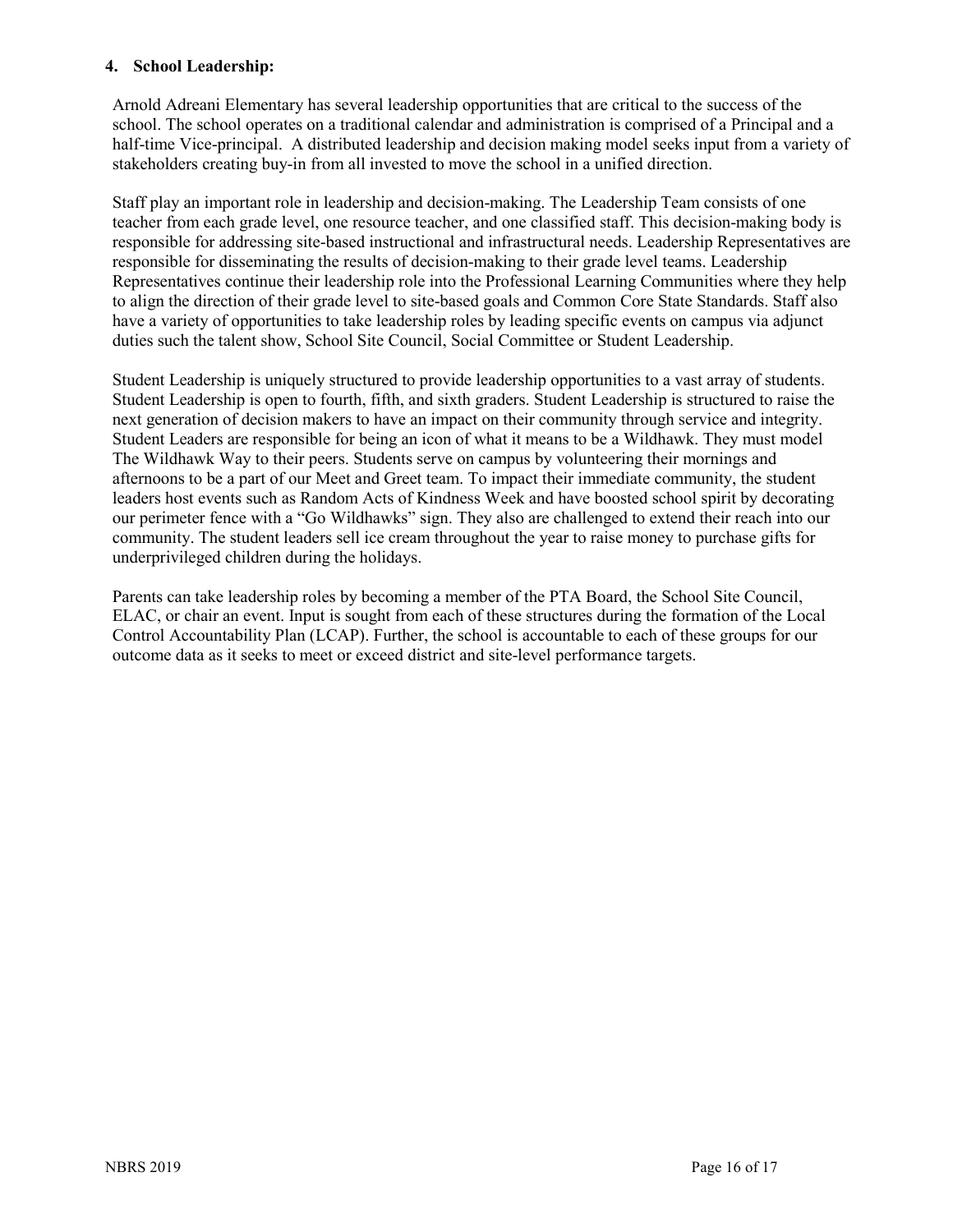#### **4. School Leadership:**

Arnold Adreani Elementary has several leadership opportunities that are critical to the success of the school. The school operates on a traditional calendar and administration is comprised of a Principal and a half-time Vice-principal. A distributed leadership and decision making model seeks input from a variety of stakeholders creating buy-in from all invested to move the school in a unified direction.

Staff play an important role in leadership and decision-making. The Leadership Team consists of one teacher from each grade level, one resource teacher, and one classified staff. This decision-making body is responsible for addressing site-based instructional and infrastructural needs. Leadership Representatives are responsible for disseminating the results of decision-making to their grade level teams. Leadership Representatives continue their leadership role into the Professional Learning Communities where they help to align the direction of their grade level to site-based goals and Common Core State Standards. Staff also have a variety of opportunities to take leadership roles by leading specific events on campus via adjunct duties such the talent show, School Site Council, Social Committee or Student Leadership.

Student Leadership is uniquely structured to provide leadership opportunities to a vast array of students. Student Leadership is open to fourth, fifth, and sixth graders. Student Leadership is structured to raise the next generation of decision makers to have an impact on their community through service and integrity. Student Leaders are responsible for being an icon of what it means to be a Wildhawk. They must model The Wildhawk Way to their peers. Students serve on campus by volunteering their mornings and afternoons to be a part of our Meet and Greet team. To impact their immediate community, the student leaders host events such as Random Acts of Kindness Week and have boosted school spirit by decorating our perimeter fence with a "Go Wildhawks" sign. They also are challenged to extend their reach into our community. The student leaders sell ice cream throughout the year to raise money to purchase gifts for underprivileged children during the holidays.

Parents can take leadership roles by becoming a member of the PTA Board, the School Site Council, ELAC, or chair an event. Input is sought from each of these structures during the formation of the Local Control Accountability Plan (LCAP). Further, the school is accountable to each of these groups for our outcome data as it seeks to meet or exceed district and site-level performance targets.